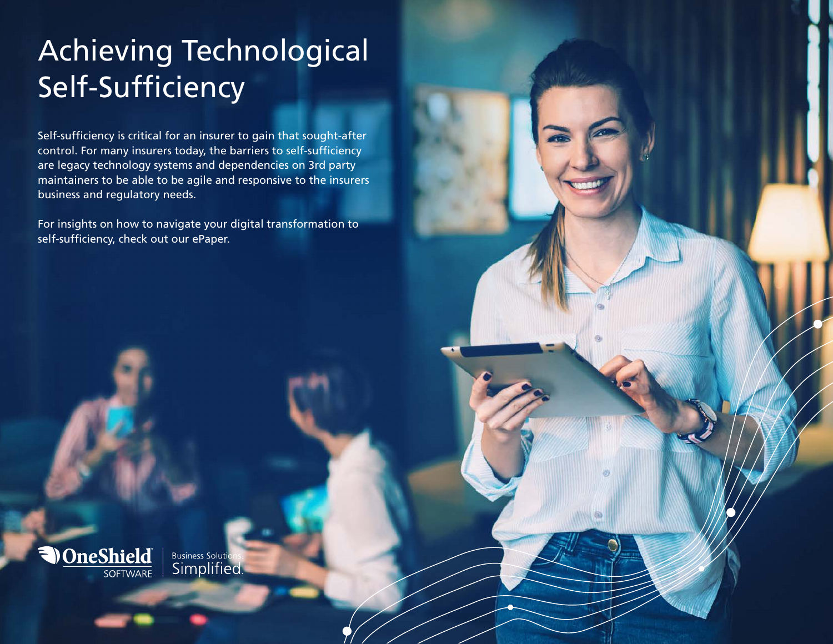# Achieving Technological Self-Sufficiency

Self-sufficiency is critical for an insurer to gain that sought-after control. For many insurers today, the barriers to self-sufficiency are legacy technology systems and dependencies on 3rd party maintainers to be able to be agile and responsive to the insurers business and regulatory needs.

For insights on how to navigate your digital transformation to self-sufficiency, check out our ePaper.

Business Solutions.<br>Simplified.

 $\overline{\phantom{a}}$   $\overline{\phantom{a}}$   $\overline{\phantom{a}}$   $\overline{\phantom{a}}$   $\overline{\phantom{a}}$   $\overline{\phantom{a}}$   $\overline{\phantom{a}}$   $\overline{\phantom{a}}$   $\overline{\phantom{a}}$   $\overline{\phantom{a}}$   $\overline{\phantom{a}}$   $\overline{\phantom{a}}$   $\overline{\phantom{a}}$   $\overline{\phantom{a}}$   $\overline{\phantom{a}}$   $\overline{\phantom{a}}$   $\overline{\phantom{a}}$   $\overline{\phantom{a}}$   $\overline{\$ 

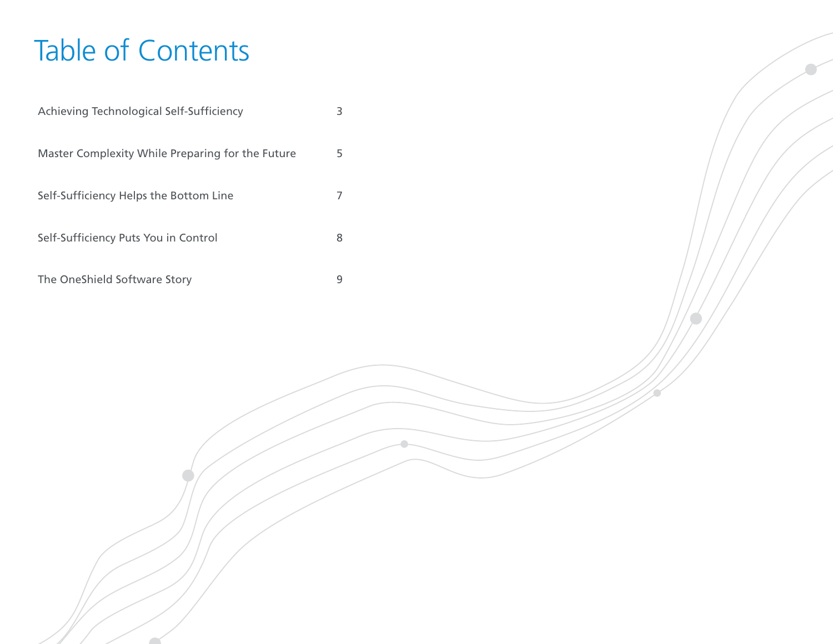# Table of Contents

| Achieving Technological Self-Sufficiency         | 3 |
|--------------------------------------------------|---|
| Master Complexity While Preparing for the Future | 5 |
| Self-Sufficiency Helps the Bottom Line           | 7 |
| Self-Sufficiency Puts You in Control             | 8 |
|                                                  |   |

The OneShield Software Story **9**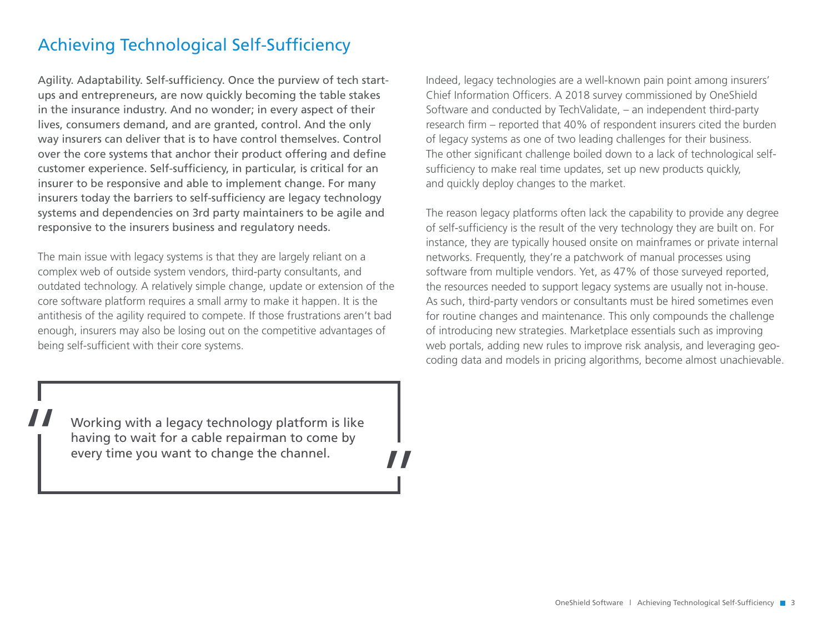# Achieving Technological Self-Sufficiency

Agility. Adaptability. Self-sufficiency. Once the purview of tech startups and entrepreneurs, are now quickly becoming the table stakes in the insurance industry. And no wonder; in every aspect of their lives, consumers demand, and are granted, control. And the only way insurers can deliver that is to have control themselves. Control over the core systems that anchor their product offering and define customer experience. Self-sufficiency, in particular, is critical for an insurer to be responsive and able to implement change. For many insurers today the barriers to self-sufficiency are legacy technology systems and dependencies on 3rd party maintainers to be agile and responsive to the insurers business and regulatory needs.

The main issue with legacy systems is that they are largely reliant on a complex web of outside system vendors, third-party consultants, and outdated technology. A relatively simple change, update or extension of the core software platform requires a small army to make it happen. It is the antithesis of the agility required to compete. If those frustrations aren't bad enough, insurers may also be losing out on the competitive advantages of being self-sufficient with their core systems.

Working with a legacy technology platform is like<br>having to wait for a cable repairman to come by<br>every time you want to change the channel. having to wait for a cable repairman to come by every time you want to change the channel.

 $\frac{1}{H}$ 

Indeed, legacy technologies are a well-known pain point among insurers' Chief Information Officers. A 2018 survey commissioned by OneShield Software and conducted by TechValidate, – an independent third-party research firm – reported that 40% of respondent insurers cited the burden of legacy systems as one of two leading challenges for their business. The other significant challenge boiled down to a lack of technological selfsufficiency to make real time updates, set up new products quickly, and quickly deploy changes to the market.

The reason legacy platforms often lack the capability to provide any degree of self-sufficiency is the result of the very technology they are built on. For instance, they are typically housed onsite on mainframes or private internal networks. Frequently, they're a patchwork of manual processes using software from multiple vendors. Yet, as 47% of those surveyed reported, the resources needed to support legacy systems are usually not in-house. As such, third-party vendors or consultants must be hired sometimes even for routine changes and maintenance. This only compounds the challenge of introducing new strategies. Marketplace essentials such as improving web portals, adding new rules to improve risk analysis, and leveraging geocoding data and models in pricing algorithms, become almost unachievable.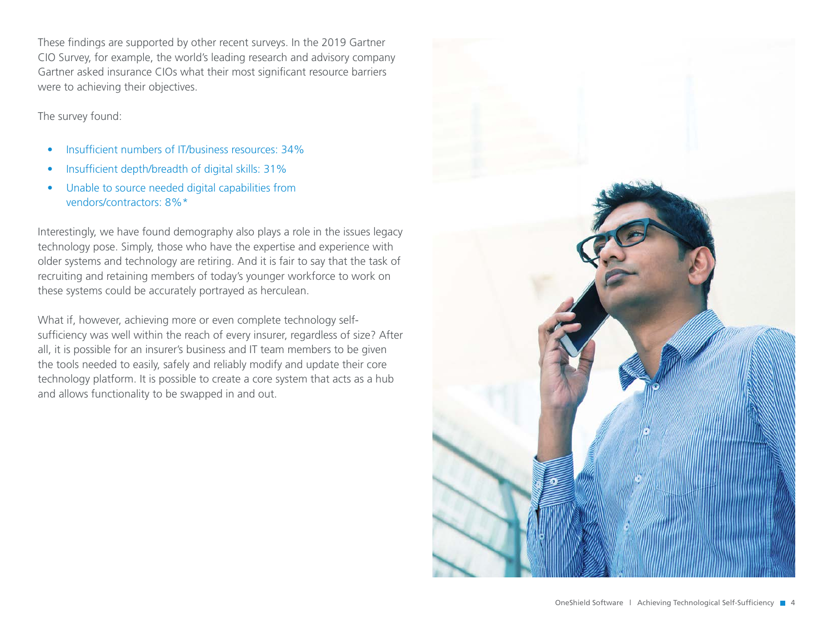These findings are supported by other recent surveys. In the 2019 Gartner CIO Survey, for example, the world's leading research and advisory company Gartner asked insurance CIOs what their most significant resource barriers were to achieving their objectives.

The survey found:

- Insufficient numbers of IT/business resources: 34%
- Insufficient depth/breadth of digital skills: 31%
- Unable to source needed digital capabilities from vendors/contractors: 8%\*

Interestingly, we have found demography also plays a role in the issues legacy technology pose. Simply, those who have the expertise and experience with older systems and technology are retiring. And it is fair to say that the task of recruiting and retaining members of today's younger workforce to work on these systems could be accurately portrayed as herculean.

What if, however, achieving more or even complete technology selfsufficiency was well within the reach of every insurer, regardless of size? After all, it is possible for an insurer's business and IT team members to be given the tools needed to easily, safely and reliably modify and update their core technology platform. It is possible to create a core system that acts as a hub and allows functionality to be swapped in and out.

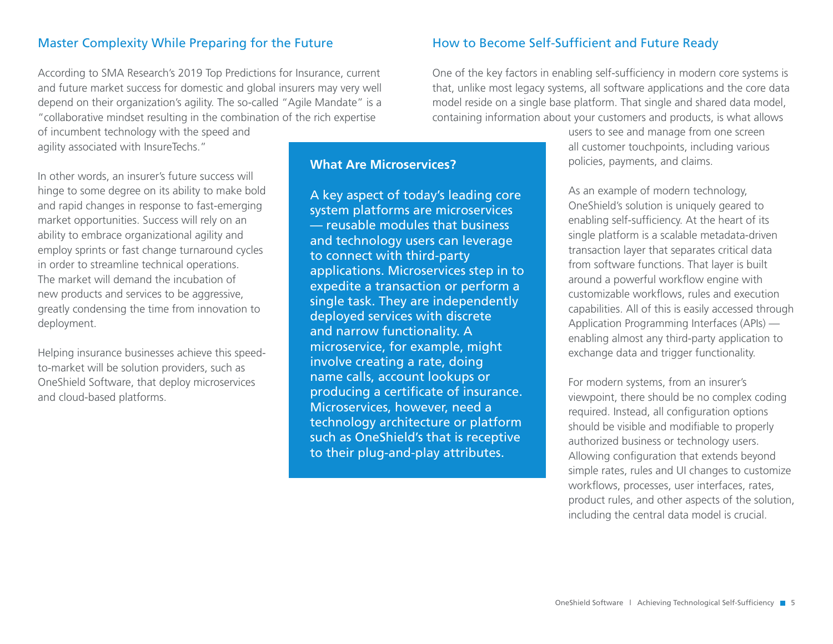### Master Complexity While Preparing for the Future

According to SMA Research's 2019 Top Predictions for Insurance, current and future market success for domestic and global insurers may very well depend on their organization's agility. The so-called "Agile Mandate" is a "collaborative mindset resulting in the combination of the rich expertise

of incumbent technology with the speed and agility associated with InsureTechs."

In other words, an insurer's future success will hinge to some degree on its ability to make bold and rapid changes in response to fast-emerging market opportunities. Success will rely on an ability to embrace organizational agility and employ sprints or fast change turnaround cycles in order to streamline technical operations. The market will demand the incubation of new products and services to be aggressive, greatly condensing the time from innovation to deployment.

Helping insurance businesses achieve this speedto-market will be solution providers, such as OneShield Software, that deploy microservices and cloud-based platforms.

# **What Are Microservices?**

A key aspect of today's leading core system platforms are microservices — reusable modules that business and technology users can leverage to connect with third-party applications. Microservices step in to expedite a transaction or perform a single task. They are independently deployed services with discrete and narrow functionality. A microservice, for example, might involve creating a rate, doing name calls, account lookups or producing a certificate of insurance. Microservices, however, need a technology architecture or platform such as OneShield's that is receptive to their plug-and-play attributes.

#### How to Become Self-Sufficient and Future Ready

One of the key factors in enabling self-sufficiency in modern core systems is that, unlike most legacy systems, all software applications and the core data model reside on a single base platform. That single and shared data model, containing information about your customers and products, is what allows

> users to see and manage from one screen all customer touchpoints, including various policies, payments, and claims.

As an example of modern technology, OneShield's solution is uniquely geared to enabling self-sufficiency. At the heart of its single platform is a scalable metadata-driven transaction layer that separates critical data from software functions. That layer is built around a powerful workflow engine with customizable workflows, rules and execution capabilities. All of this is easily accessed through Application Programming Interfaces (APIs) enabling almost any third-party application to exchange data and trigger functionality.

For modern systems, from an insurer's viewpoint, there should be no complex coding required. Instead, all configuration options should be visible and modifiable to properly authorized business or technology users. Allowing configuration that extends beyond simple rates, rules and UI changes to customize workflows, processes, user interfaces, rates, product rules, and other aspects of the solution, including the central data model is crucial.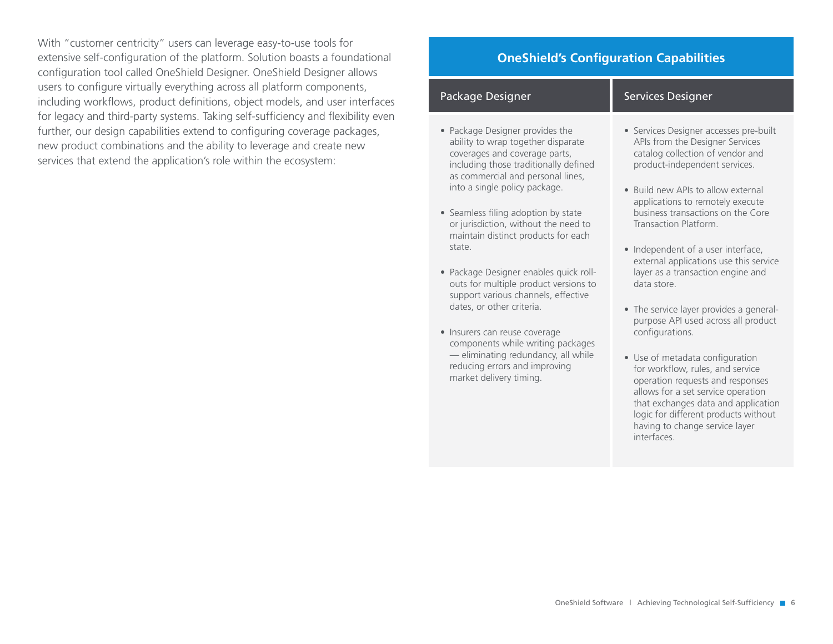With "customer centricity" users can leverage easy-to-use tools for extensive self-configuration of the platform. Solution boasts a foundational configuration tool called OneShield Designer. OneShield Designer allows users to configure virtually everything across all platform components, including workflows, product definitions, object models, and user interfaces for legacy and third-party systems. Taking self-sufficiency and flexibility even further, our design capabilities extend to configuring coverage packages, new product combinations and the ability to leverage and create new services that extend the application's role within the ecosystem:

# **OneShield's Configuration Capabilities**

| Package Designer                                                                                                                                                                                                                                                                                                                            | <b>Services Designer</b>                                                                                                                                                                                                                                                               |
|---------------------------------------------------------------------------------------------------------------------------------------------------------------------------------------------------------------------------------------------------------------------------------------------------------------------------------------------|----------------------------------------------------------------------------------------------------------------------------------------------------------------------------------------------------------------------------------------------------------------------------------------|
| • Package Designer provides the<br>ability to wrap together disparate<br>coverages and coverage parts,<br>including those traditionally defined<br>as commercial and personal lines,<br>into a single policy package.<br>• Seamless filing adoption by state<br>or jurisdiction, without the need to<br>maintain distinct products for each | • Services Designer accesses pre-built<br>APIs from the Designer Services<br>catalog collection of vendor and<br>product-independent services.<br>• Build new APIs to allow external<br>applications to remotely execute<br>business transactions on the Core<br>Transaction Platform. |
| state<br>· Package Designer enables quick roll-<br>outs for multiple product versions to<br>support various channels, effective<br>dates, or other criteria.                                                                                                                                                                                | • Independent of a user interface,<br>external applications use this service<br>layer as a transaction engine and<br>data store<br>• The service layer provides a general-                                                                                                             |
| Insurers can reuse coverage<br>components while writing packages<br>- eliminating redundancy, all while<br>reducing errors and improving<br>market delivery timing.                                                                                                                                                                         | purpose API used across all product<br>configurations.<br>• Use of metadata configuration<br>for workflow, rules, and service<br>operation requests and responses<br>allows for a set service operation<br>that exchanges data and application<br>logic for different products without |

having to change service layer

interfaces.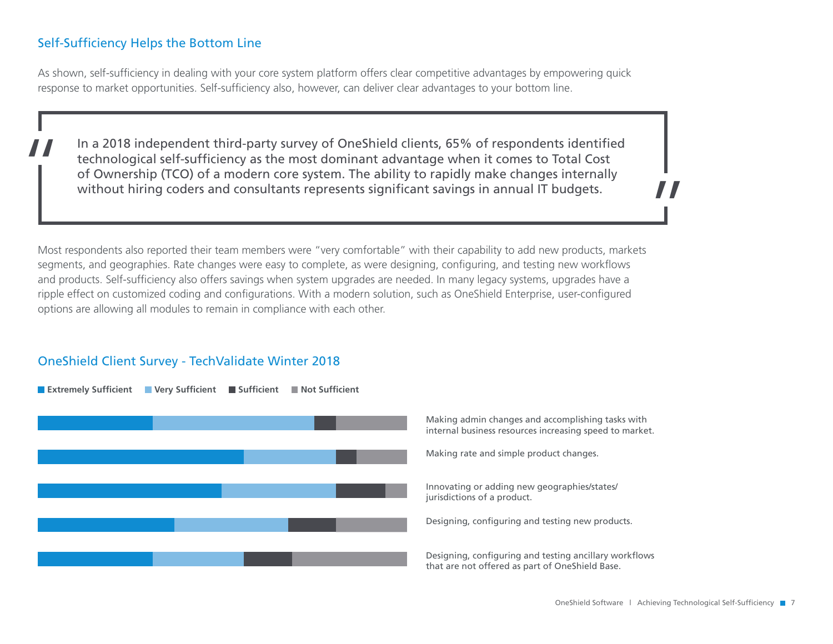# Self-Sufficiency Helps the Bottom Line

As shown, self-sufficiency in dealing with your core system platform offers clear competitive advantages by empowering quick response to market opportunities. Self-sufficiency also, however, can deliver clear advantages to your bottom line.

In a 2018 independent third-party survey of OneShield clients, 65% of respondents identified<br>technological self-sufficiency as the most dominant advantage when it comes to Total Cost<br>of Ownership (TCO) of a modern core sys technological self-sufficiency as the most dominant advantage when it comes to Total Cost of Ownership (TCO) of a modern core system. The ability to rapidly make changes internally without hiring coders and consultants represents significant savings in annual IT budgets.

Most respondents also reported their team members were "very comfortable" with their capability to add new products, markets segments, and geographies. Rate changes were easy to complete, as were designing, configuring, and testing new workflows and products. Self-sufficiency also offers savings when system upgrades are needed. In many legacy systems, upgrades have a ripple effect on customized coding and configurations. With a modern solution, such as OneShield Enterprise, user-configured options are allowing all modules to remain in compliance with each other.

#### OneShield Client Survey - TechValidate Winter 2018



 $\frac{1}{H}$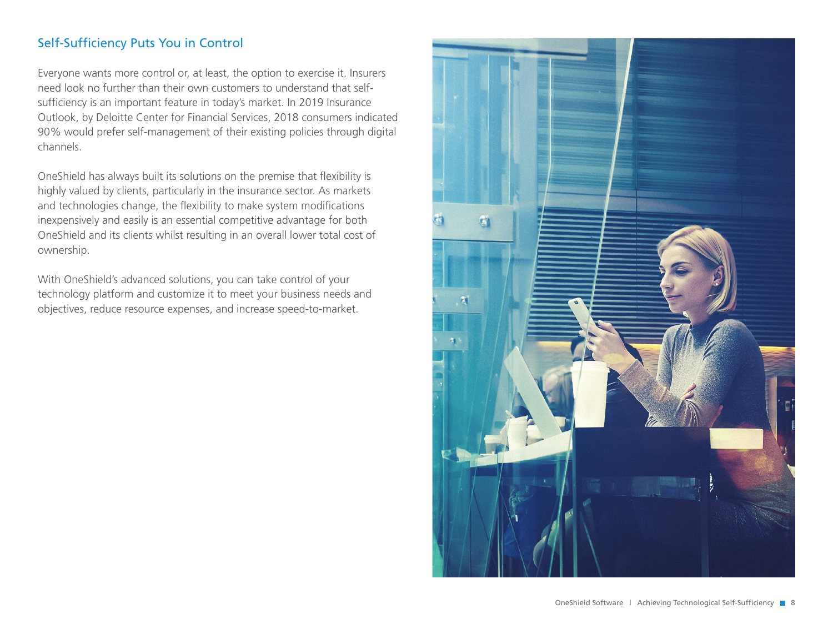# Self-Sufficiency Puts You in Control

Everyone wants more control or, at least, the option to exercise it. Insurers need look no further than their own customers to understand that selfsufficiency is an important feature in today's market. In 2019 Insurance Outlook, by Deloitte Center for Financial Services, 2018 consumers indicated 90% would prefer self-management of their existing policies through digital channels.

OneShield has always built its solutions on the premise that flexibility is highly valued by clients, particularly in the insurance sector. As markets and technologies change, the flexibility to make system modifications inexpensively and easily is an essential competitive advantage for both OneShield and its clients whilst resulting in an overall lower total cost of ownership.

With OneShield's advanced solutions, you can take control of your technology platform and customize it to meet your business needs and objectives, reduce resource expenses, and increase speed-to-market.

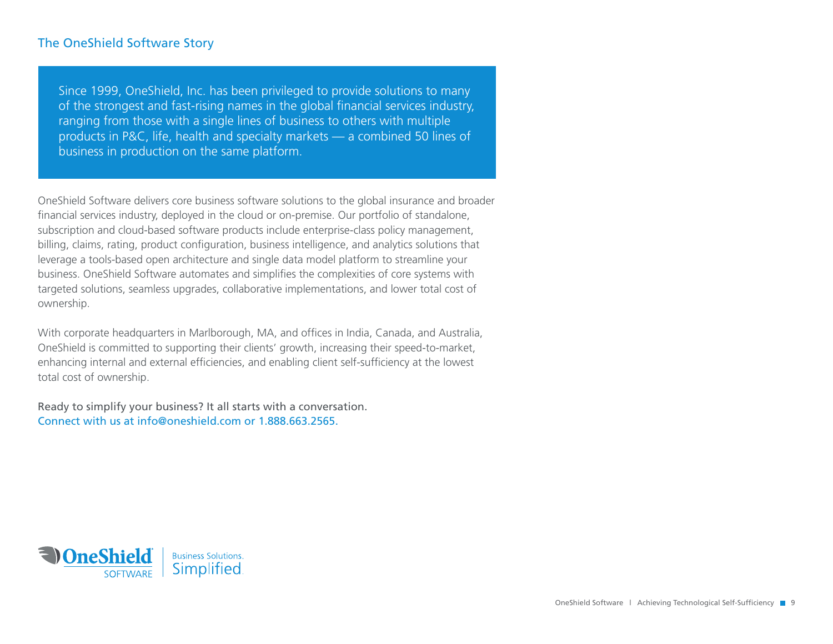### The OneShield Software Story

Since 1999, OneShield, Inc. has been privileged to provide solutions to many of the strongest and fast-rising names in the global financial services industry, ranging from those with a single lines of business to others with multiple products in P&C, life, health and specialty markets — a combined 50 lines of business in production on the same platform.

OneShield Software delivers core business software solutions to the global insurance and broader financial services industry, deployed in the cloud or on-premise. Our portfolio of standalone, subscription and cloud-based software products include enterprise-class policy management, billing, claims, rating, product configuration, business intelligence, and analytics solutions that leverage a tools-based open architecture and single data model platform to streamline your business. OneShield Software automates and simplifies the complexities of core systems with targeted solutions, seamless upgrades, collaborative implementations, and lower total cost of ownership.

With corporate headquarters in Marlborough, MA, and offices in India, Canada, and Australia, OneShield is committed to supporting their clients' growth, increasing their speed-to-market, enhancing internal and external efficiencies, and enabling client self-sufficiency at the lowest total cost of ownership.

Ready to simplify your business? It all starts with a conversation. Connect with us at info@oneshield.com or 1.888.663.2565.